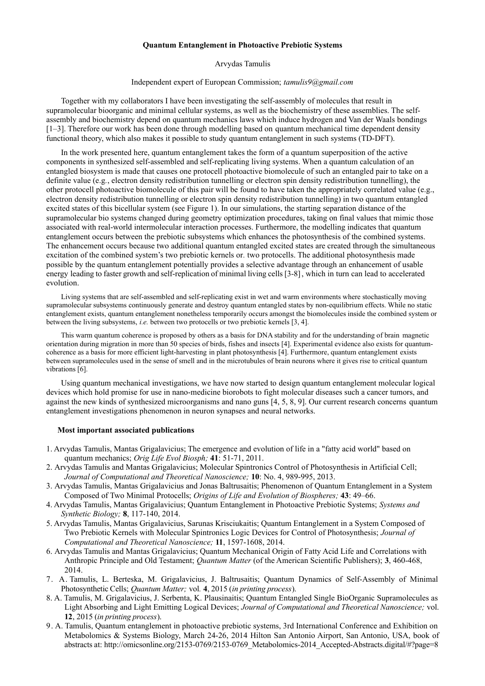## **Quantum Entanglement in Photoactive Prebiotic Systems**

Arvydas Tamulis

## Independent expert of European Commission; *tamulis9@gmail.com*

Together with my collaborators I have been investigating the self-assembly of molecules that result in supramolecular bioorganic and minimal cellular systems, as well as the biochemistry of these assemblies. The selfassembly and biochemistry depend on quantum mechanics laws which induce hydrogen and Van der Waals bondings [1–3]. Therefore our work has been done through modelling based on quantum mechanical time dependent density functional theory, which also makes it possible to study quantum entanglement in such systems (TD-DFT).

In the work presented here, quantum entanglement takes the form of a quantum superposition of the active components in synthesized self-assembled and self-replicating living systems. When a quantum calculation of an entangled biosystem is made that causes one protocell photoactive biomolecule of such an entangled pair to take on a definite value (e.g*.*, electron density redistribution tunnelling or electron spin density redistribution tunnelling), the other protocell photoactive biomolecule of this pair will be found to have taken the appropriately correlated value (e.g., electron density redistribution tunnelling or electron spin density redistribution tunnelling) in two quantum entangled excited states of this bicellular system (see Figure 1). In our simulations, the starting separation distance of the supramolecular bio systems changed during geometry optimization procedures, taking on final values that mimic those associated with real-world intermolecular interaction processes. Furthermore, the modelling indicates that quantum entanglement occurs between the prebiotic subsystems which enhances the photosynthesis of the combined systems. The enhancement occurs because two additional quantum entangled excited states are created through the simultaneous excitation of the combined system's two prebiotic kernels or*.* two protocells. The additional photosynthesis made possible by the quantum entanglement potentially provides a selective advantage through an enhancement of usable energy leading to faster growth and self-replication of minimal living cells [3-8], which in turn can lead to accelerated evolution.

Living systems that are self-assembled and self-replicating exist in wet and warm environments where stochastically moving supramolecular subsystems continuously generate and destroy quantum entangled states by non-equilibrium effects. While no static entanglement exists, quantum entanglement nonetheless temporarily occurs amongst the biomolecules inside the combined system or between the living subsystems, *i.e.* between two protocells or two prebiotic kernels [3, 4].

This warm quantum coherence is proposed by others as a basis for DNA stability and for the understanding of brain magnetic orientation during migration in more than 50 species of birds, fishes and insects [4]. Experimental evidence also exists for quantumcoherence as a basis for more efficient light-harvesting in plant photosynthesis [4]. Furthermore, quantum entanglement exists between supramolecules used in the sense of smell and in the microtubules of brain neurons where it gives rise to critical quantum vibrations [6].

Using quantum mechanical investigations, we have now started to design quantum entanglement molecular logical devices which hold promise for use in nano-medicine biorobots to fight molecular diseases such a cancer tumors, and against the new kinds of synthesized microorganisms and nano guns [4, 5, 8, 9]. Our current research concerns quantum entanglement investigations phenomenon in neuron synapses and neural networks.

## **Most important associated publications**

- 1. Arvydas Tamulis, Mantas Grigalavicius; The emergence and evolution of life in a "fatty acid world" based on quantum mechanics; *Orig Life Evol Biosph;* **41**: 51-71, 2011.
- 2. Arvydas Tamulis and Mantas Grigalavicius; Molecular Spintronics Control of Photosynthesis in Artificial Cell; *Journal of Computational and Theoretical Nanoscience;* **10**: No. 4, 989-995, 2013.
- 3. Arvydas Tamulis, Mantas Grigalavicius and Jonas Baltrusaitis; Phenomenon of Quantum Entanglement in a System Composed of Two Minimal Protocells; *Origins of Life and Evolution of Biospheres;* **43**: 49–66.
- 4. Arvydas Tamulis, Mantas Grigalavicius; Quantum Entanglement in Photoactive Prebiotic Systems; *Systems and Synthetic Biology;* **8**, 117-140, 2014.
- 5. Arvydas Tamulis, Mantas Grigalavicius, Sarunas Krisciukaitis; Quantum Entanglement in a System Composed of Two Prebiotic Kernels with Molecular Spintronics Logic Devices for Control of Photosynthesis; *Journal of Computational and Theoretical Nanoscience;* **11**, 1597-1608, 2014.
- 6. Arvydas Tamulis and Mantas Grigalavicius; Quantum Mechanical Origin of Fatty Acid Life and Correlations with Anthropic Principle and Old Testament; *Quantum Matter* (of the American Scientific Publishers); **3**, 460-468, 2014.
- 7. A. Tamulis, L. Berteska, M. Grigalavicius, J. Baltrusaitis; Quantum Dynamics of Self-Assembly of Minimal Photosynthetic Cells; *Quantum Matter;* vol*.* **4**, 2015 (*in printing process*).
- 8. A. Tamulis, M. Grigalavicius, J. Serbenta, K. Plausinaitis; Quantum Entangled Single BioOrganic Supramolecules as Light Absorbing and Light Emitting Logical Devices; *Journal of Computational and Theoretical Nanoscience;* vol. **12**, 2015 (*in printing process*).
- 9. A. Tamulis, Quantum entanglement in photoactive prebiotic systems, 3rd International Conference and Exhibition on Metabolomics & Systems Biology, March 24-26, 2014 Hilton San Antonio Airport, San Antonio, USA, book of abstracts at: http://omicsonline.org/2153-0769/2153-0769\_Metabolomics-2014\_Accepted-Abstracts.digital/#?page=8